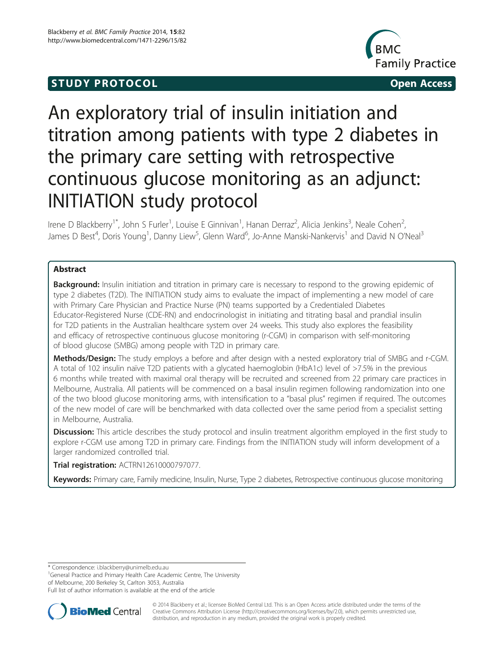# **STUDY PROTOCOL CONSUMING THE STUDY PROTOCOL**



# An exploratory trial of insulin initiation and titration among patients with type 2 diabetes in the primary care setting with retrospective continuous glucose monitoring as an adjunct: INITIATION study protocol

Irene D Blackberry<sup>1\*</sup>, John S Furler<sup>1</sup>, Louise E Ginnivan<sup>1</sup>, Hanan Derraz<sup>2</sup>, Alicia Jenkins<sup>3</sup>, Neale Cohen<sup>2</sup> .<br>, James D Best<sup>4</sup>, Doris Young<sup>1</sup>, Danny Liew<sup>5</sup>, Glenn Ward<sup>6</sup>, Jo-Anne Manski-Nankervis<sup>1</sup> and David N O'Neal<sup>3</sup>

# Abstract

Background: Insulin initiation and titration in primary care is necessary to respond to the growing epidemic of type 2 diabetes (T2D). The INITIATION study aims to evaluate the impact of implementing a new model of care with Primary Care Physician and Practice Nurse (PN) teams supported by a Credentialed Diabetes Educator-Registered Nurse (CDE-RN) and endocrinologist in initiating and titrating basal and prandial insulin for T2D patients in the Australian healthcare system over 24 weeks. This study also explores the feasibility and efficacy of retrospective continuous glucose monitoring (r-CGM) in comparison with self-monitoring of blood glucose (SMBG) among people with T2D in primary care.

Methods/Design: The study employs a before and after design with a nested exploratory trial of SMBG and r-CGM. A total of 102 insulin naïve T2D patients with a glycated haemoglobin (HbA1c) level of >7.5% in the previous 6 months while treated with maximal oral therapy will be recruited and screened from 22 primary care practices in Melbourne, Australia. All patients will be commenced on a basal insulin regimen following randomization into one of the two blood glucose monitoring arms, with intensification to a "basal plus" regimen if required. The outcomes of the new model of care will be benchmarked with data collected over the same period from a specialist setting in Melbourne, Australia.

**Discussion:** This article describes the study protocol and insulin treatment algorithm employed in the first study to explore r-CGM use among T2D in primary care. Findings from the INITIATION study will inform development of a larger randomized controlled trial.

Trial registration: ACTRN12610000797077.

Keywords: Primary care, Family medicine, Insulin, Nurse, Type 2 diabetes, Retrospective continuous glucose monitoring

Full list of author information is available at the end of the article



© 2014 Blackberry et al.; licensee BioMed Central Ltd. This is an Open Access article distributed under the terms of the Creative Commons Attribution License (http://creativecommons.org/licenses/by/2.0), which permits unrestricted use, distribution, and reproduction in any medium, provided the original work is properly credited.

<sup>\*</sup> Correspondence: i.blackberry@unimelb.edu.au <sup>1</sup>

<sup>&</sup>lt;sup>1</sup>General Practice and Primary Health Care Academic Centre, The University

of Melbourne, 200 Berkeley St, Carlton 3053, Australia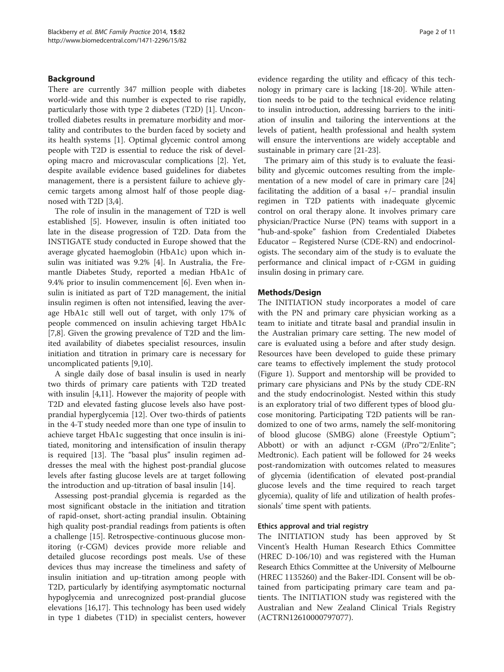# Background

There are currently 347 million people with diabetes world-wide and this number is expected to rise rapidly, particularly those with type 2 diabetes (T2D) [1]. Uncontrolled diabetes results in premature morbidity and mortality and contributes to the burden faced by society and its health systems [1]. Optimal glycemic control among people with T2D is essential to reduce the risk of developing macro and microvascular complications [2]. Yet, despite available evidence based guidelines for diabetes management, there is a persistent failure to achieve glycemic targets among almost half of those people diagnosed with T2D [3,4].

The role of insulin in the management of T2D is well established [5]. However, insulin is often initiated too late in the disease progression of T2D. Data from the INSTIGATE study conducted in Europe showed that the average glycated haemoglobin (HbA1c) upon which insulin was initiated was 9.2% [4]. In Australia, the Fremantle Diabetes Study, reported a median HbA1c of 9.4% prior to insulin commencement [6]. Even when insulin is initiated as part of T2D management, the initial insulin regimen is often not intensified, leaving the average HbA1c still well out of target, with only 17% of people commenced on insulin achieving target HbA1c [7,8]. Given the growing prevalence of T2D and the limited availability of diabetes specialist resources, insulin initiation and titration in primary care is necessary for uncomplicated patients [9,10].

A single daily dose of basal insulin is used in nearly two thirds of primary care patients with T2D treated with insulin [4,11]. However the majority of people with T2D and elevated fasting glucose levels also have postprandial hyperglycemia [12]. Over two-thirds of patients in the 4-T study needed more than one type of insulin to achieve target HbA1c suggesting that once insulin is initiated, monitoring and intensification of insulin therapy is required [13]. The "basal plus" insulin regimen addresses the meal with the highest post-prandial glucose levels after fasting glucose levels are at target following the introduction and up-titration of basal insulin [14].

Assessing post-prandial glycemia is regarded as the most significant obstacle in the initiation and titration of rapid-onset, short-acting prandial insulin. Obtaining high quality post-prandial readings from patients is often a challenge [15]. Retrospective-continuous glucose monitoring (r-CGM) devices provide more reliable and detailed glucose recordings post meals. Use of these devices thus may increase the timeliness and safety of insulin initiation and up-titration among people with T2D, particularly by identifying asymptomatic nocturnal hypoglycemia and unrecognized post-prandial glucose elevations [16,17]. This technology has been used widely in type 1 diabetes (T1D) in specialist centers, however evidence regarding the utility and efficacy of this technology in primary care is lacking [18-20]. While attention needs to be paid to the technical evidence relating to insulin introduction, addressing barriers to the initiation of insulin and tailoring the interventions at the levels of patient, health professional and health system will ensure the interventions are widely acceptable and sustainable in primary care [21-23].

The primary aim of this study is to evaluate the feasibility and glycemic outcomes resulting from the implementation of a new model of care in primary care [24] facilitating the addition of a basal +/− prandial insulin regimen in T2D patients with inadequate glycemic control on oral therapy alone. It involves primary care physician/Practice Nurse (PN) teams with support in a "hub-and-spoke" fashion from Credentialed Diabetes Educator – Registered Nurse (CDE-RN) and endocrinologists. The secondary aim of the study is to evaluate the performance and clinical impact of r-CGM in guiding insulin dosing in primary care.

#### Methods/Design

The INITIATION study incorporates a model of care with the PN and primary care physician working as a team to initiate and titrate basal and prandial insulin in the Australian primary care setting. The new model of care is evaluated using a before and after study design. Resources have been developed to guide these primary care teams to effectively implement the study protocol (Figure 1). Support and mentorship will be provided to primary care physicians and PNs by the study CDE-RN and the study endocrinologist. Nested within this study is an exploratory trial of two different types of blood glucose monitoring. Participating T2D patients will be randomized to one of two arms, namely the self-monitoring of blood glucose (SMBG) alone (Freestyle Optium™; Abbott) or with an adjunct r-CGM  $(iPro^{\omega_2}/Enlite^{\omega_2})$ Medtronic). Each patient will be followed for 24 weeks post-randomization with outcomes related to measures of glycemia (identification of elevated post-prandial glucose levels and the time required to reach target glycemia), quality of life and utilization of health professionals' time spent with patients.

#### Ethics approval and trial registry

The INITIATION study has been approved by St Vincent's Health Human Research Ethics Committee (HREC D-106/10) and was registered with the Human Research Ethics Committee at the University of Melbourne (HREC 1135260) and the Baker-IDI. Consent will be obtained from participating primary care team and patients. The INITIATION study was registered with the Australian and New Zealand Clinical Trials Registry (ACTRN12610000797077).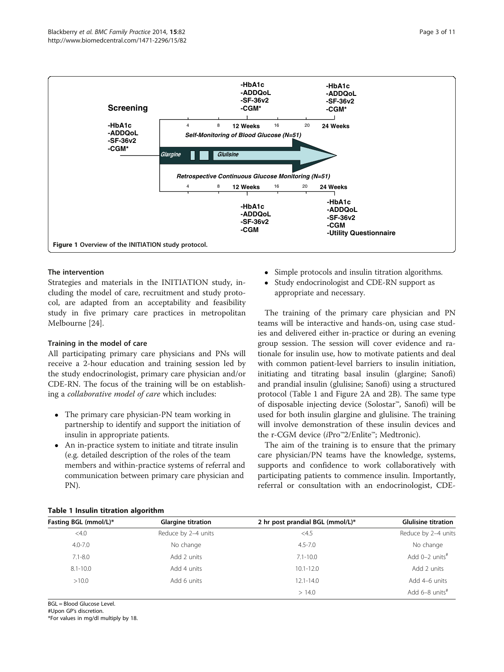

# The intervention

Strategies and materials in the INITIATION study, including the model of care, recruitment and study protocol, are adapted from an acceptability and feasibility study in five primary care practices in metropolitan Melbourne [24].

#### Training in the model of care

All participating primary care physicians and PNs will receive a 2-hour education and training session led by the study endocrinologist, primary care physician and/or CDE-RN. The focus of the training will be on establishing a collaborative model of care which includes:

- The primary care physician-PN team working in partnership to identify and support the initiation of insulin in appropriate patients.
- An in-practice system to initiate and titrate insulin (e.g. detailed description of the roles of the team members and within-practice systems of referral and communication between primary care physician and PN).
- Simple protocols and insulin titration algorithms.<br>• Study endocrinologist and CDE-RN support as
- Study endocrinologist and CDE-RN support as appropriate and necessary.

The training of the primary care physician and PN teams will be interactive and hands-on, using case studies and delivered either in-practice or during an evening group session. The session will cover evidence and rationale for insulin use, how to motivate patients and deal with common patient-level barriers to insulin initiation, initiating and titrating basal insulin (glargine; Sanofi) and prandial insulin (glulisine; Sanofi) using a structured protocol (Table 1 and Figure 2A and 2B). The same type of disposable injecting device (Solostar™, Sanofi) will be used for both insulin glargine and glulisine. The training will involve demonstration of these insulin devices and the r-CGM device (iPro™2/Enlite™; Medtronic).

The aim of the training is to ensure that the primary care physician/PN teams have the knowledge, systems, supports and confidence to work collaboratively with participating patients to commence insulin. Importantly, referral or consultation with an endocrinologist, CDE-

| Fasting BGL (mmol/L)* | <b>Glargine titration</b> | 2 hr post prandial BGL (mmol/L)* | <b>Glulisine titration</b> |
|-----------------------|---------------------------|----------------------------------|----------------------------|
| <4.0                  | Reduce by 2-4 units       | <4.5                             | Reduce by 2-4 units        |
| $4.0 - 7.0$           | No change                 | $4.5 - 7.0$                      | No change                  |
| $7.1 - 8.0$           | Add 2 units               | $7.1 - 10.0$                     | Add 0-2 units <sup>#</sup> |
| $8.1 - 10.0$          | Add 4 units               | $10.1 - 12.0$                    | Add 2 units                |
| >10.0                 | Add 6 units               | $12.1 - 14.0$                    | Add 4-6 units              |
|                       |                           | >14.0                            | Add 6-8 units <sup>#</sup> |

# Table 1 Insulin titration algorithm

BGL = Blood Glucose Level.

#Upon GP's discretion.

\*For values in mg/dl multiply by 18.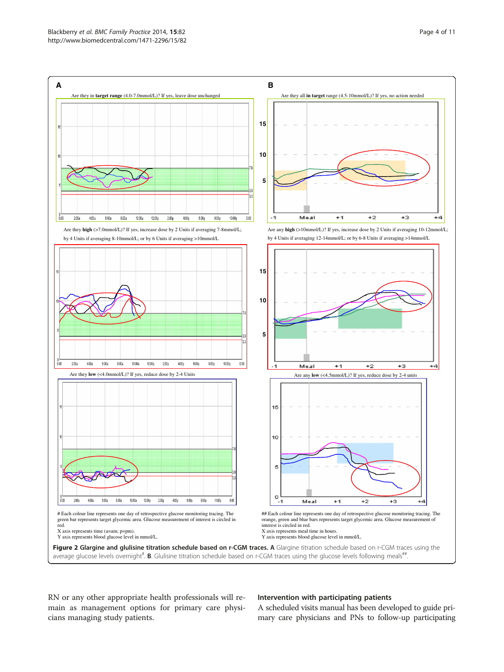

RN or any other appropriate health professionals will remain as management options for primary care physicians managing study patients.

#### Intervention with participating patients

A scheduled visits manual has been developed to guide primary care physicians and PNs to follow-up participating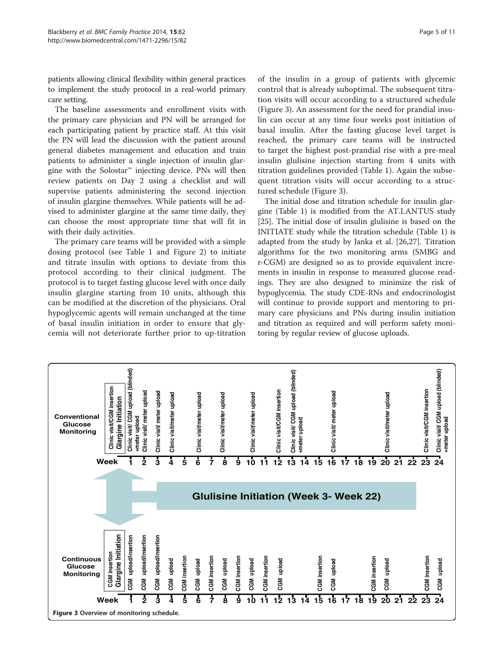patients allowing clinical flexibility within general practices to implement the study protocol in a real-world primary care setting.

The baseline assessments and enrollment visits with the primary care physician and PN will be arranged for each participating patient by practice staff. At this visit the PN will lead the discussion with the patient around general diabetes management and education and train patients to administer a single injection of insulin glargine with the Solostar™ injecting device. PNs will then review patients on Day 2 using a checklist and will supervise patients administering the second injection of insulin glargine themselves. While patients will be advised to administer glargine at the same time daily, they can choose the most appropriate time that will fit in with their daily activities.

The primary care teams will be provided with a simple dosing protocol (see Table 1 and Figure 2) to initiate and titrate insulin with options to deviate from this protocol according to their clinical judgment. The protocol is to target fasting glucose level with once daily insulin glargine starting from 10 units, although this can be modified at the discretion of the physicians. Oral hypoglycemic agents will remain unchanged at the time of basal insulin initiation in order to ensure that glycemia will not deteriorate further prior to up-titration

of the insulin in a group of patients with glycemic control that is already suboptimal. The subsequent titration visits will occur according to a structured schedule (Figure 3). An assessment for the need for prandial insulin can occur at any time four weeks post initiation of basal insulin. After the fasting glucose level target is reached, the primary care teams will be instructed to target the highest post-prandial rise with a pre-meal insulin glulisine injection starting from 4 units with titration guidelines provided (Table 1). Again the subsequent titration visits will occur according to a structured schedule (Figure 3).

The initial dose and titration schedule for insulin glargine (Table 1) is modified from the AT.LANTUS study [25]. The initial dose of insulin glulisine is based on the INITIATE study while the titration schedule (Table 1) is adapted from the study by Janka et al. [26,27]. Titration algorithms for the two monitoring arms (SMBG and r-CGM) are designed so as to provide equivalent increments in insulin in response to measured glucose readings. They are also designed to minimize the risk of hypoglycemia. The study CDE-RNs and endocrinologist will continue to provide support and mentoring to primary care physicians and PNs during insulin initiation and titration as required and will perform safety monitoring by regular review of glucose uploads.

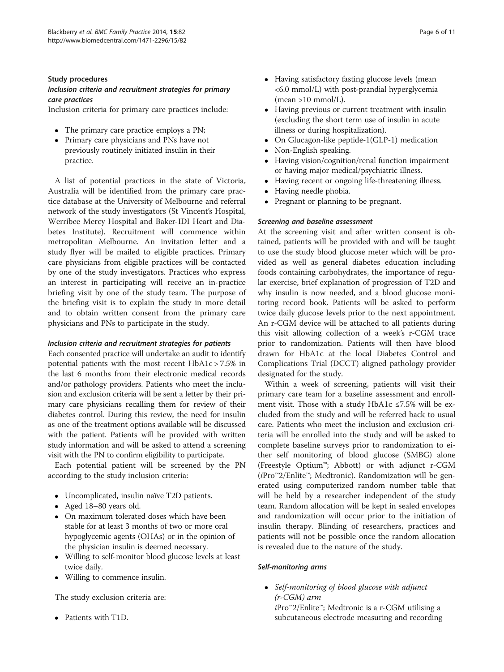# Study procedures

# Inclusion criteria and recruitment strategies for primary care practices

Inclusion criteria for primary care practices include:

- The primary care practice employs a PN;
- Primary care physicians and PNs have not previously routinely initiated insulin in their practice.

A list of potential practices in the state of Victoria, Australia will be identified from the primary care practice database at the University of Melbourne and referral network of the study investigators (St Vincent's Hospital, Werribee Mercy Hospital and Baker-IDI Heart and Diabetes Institute). Recruitment will commence within metropolitan Melbourne. An invitation letter and a study flyer will be mailed to eligible practices. Primary care physicians from eligible practices will be contacted by one of the study investigators. Practices who express an interest in participating will receive an in-practice briefing visit by one of the study team. The purpose of the briefing visit is to explain the study in more detail and to obtain written consent from the primary care physicians and PNs to participate in the study.

#### Inclusion criteria and recruitment strategies for patients

Each consented practice will undertake an audit to identify potential patients with the most recent HbA1c > 7.5% in the last 6 months from their electronic medical records and/or pathology providers. Patients who meet the inclusion and exclusion criteria will be sent a letter by their primary care physicians recalling them for review of their diabetes control. During this review, the need for insulin as one of the treatment options available will be discussed with the patient. Patients will be provided with written study information and will be asked to attend a screening visit with the PN to confirm eligibility to participate.

Each potential patient will be screened by the PN according to the study inclusion criteria:

- Uncomplicated, insulin naïve T2D patients.
- Aged 18–80 years old.
- On maximum tolerated doses which have been stable for at least 3 months of two or more oral hypoglycemic agents (OHAs) or in the opinion of the physician insulin is deemed necessary.
- Willing to self-monitor blood glucose levels at least twice daily.
- Willing to commence insulin.

The study exclusion criteria are:

Patients with T1D.

- Having satisfactory fasting glucose levels (mean <6.0 mmol/L) with post-prandial hyperglycemia  $(mean > 10 mmol/L).$
- Having previous or current treatment with insulin (excluding the short term use of insulin in acute illness or during hospitalization).
- On Glucagon-like peptide-1(GLP-1) medication
- Non-English speaking.
- Having vision/cognition/renal function impairment or having major medical/psychiatric illness.
- Having recent or ongoing life-threatening illness.<br>• Having needle phobia
- Having needle phobia.
- Pregnant or planning to be pregnant.

# Screening and baseline assessment

At the screening visit and after written consent is obtained, patients will be provided with and will be taught to use the study blood glucose meter which will be provided as well as general diabetes education including foods containing carbohydrates, the importance of regular exercise, brief explanation of progression of T2D and why insulin is now needed, and a blood glucose monitoring record book. Patients will be asked to perform twice daily glucose levels prior to the next appointment. An r-CGM device will be attached to all patients during this visit allowing collection of a week's r-CGM trace prior to randomization. Patients will then have blood drawn for HbA1c at the local Diabetes Control and Complications Trial (DCCT) aligned pathology provider designated for the study.

Within a week of screening, patients will visit their primary care team for a baseline assessment and enrollment visit. Those with a study HbA1c ≤7.5% will be excluded from the study and will be referred back to usual care. Patients who meet the inclusion and exclusion criteria will be enrolled into the study and will be asked to complete baseline surveys prior to randomization to either self monitoring of blood glucose (SMBG) alone (Freestyle Optium™; Abbott) or with adjunct r-CGM (iPro™2/Enlite™; Medtronic). Randomization will be generated using computerized random number table that will be held by a researcher independent of the study team. Random allocation will be kept in sealed envelopes and randomization will occur prior to the initiation of insulin therapy. Blinding of researchers, practices and patients will not be possible once the random allocation is revealed due to the nature of the study.

# Self-monitoring arms

 Self-monitoring of blood glucose with adjunct (r-CGM) arm

iPro™2/Enlite™; Medtronic is a r-CGM utilising a subcutaneous electrode measuring and recording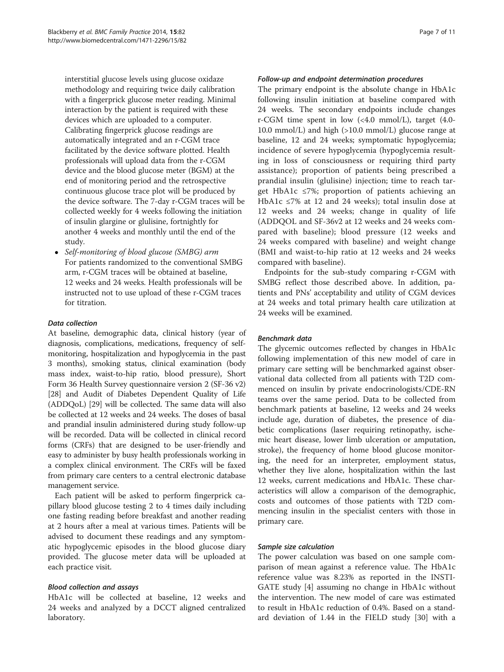interstitial glucose levels using glucose oxidaze methodology and requiring twice daily calibration with a fingerprick glucose meter reading. Minimal interaction by the patient is required with these devices which are uploaded to a computer. Calibrating fingerprick glucose readings are automatically integrated and an r-CGM trace facilitated by the device software plotted. Health professionals will upload data from the r-CGM device and the blood glucose meter (BGM) at the end of monitoring period and the retrospective continuous glucose trace plot will be produced by the device software. The 7-day r-CGM traces will be collected weekly for 4 weeks following the initiation of insulin glargine or glulisine, fortnightly for another 4 weeks and monthly until the end of the study.

• Self-monitoring of blood glucose (SMBG) arm For patients randomized to the conventional SMBG arm, r-CGM traces will be obtained at baseline, 12 weeks and 24 weeks. Health professionals will be instructed not to use upload of these r-CGM traces for titration.

# Data collection

At baseline, demographic data, clinical history (year of diagnosis, complications, medications, frequency of selfmonitoring, hospitalization and hypoglycemia in the past 3 months), smoking status, clinical examination (body mass index, waist-to-hip ratio, blood pressure), Short Form 36 Health Survey questionnaire version 2 (SF-36 v2) [28] and Audit of Diabetes Dependent Quality of Life (ADDQoL) [29] will be collected. The same data will also be collected at 12 weeks and 24 weeks. The doses of basal and prandial insulin administered during study follow-up will be recorded. Data will be collected in clinical record forms (CRFs) that are designed to be user-friendly and easy to administer by busy health professionals working in a complex clinical environment. The CRFs will be faxed from primary care centers to a central electronic database management service.

Each patient will be asked to perform fingerprick capillary blood glucose testing 2 to 4 times daily including one fasting reading before breakfast and another reading at 2 hours after a meal at various times. Patients will be advised to document these readings and any symptomatic hypoglycemic episodes in the blood glucose diary provided. The glucose meter data will be uploaded at each practice visit.

#### Blood collection and assays

HbA1c will be collected at baseline, 12 weeks and 24 weeks and analyzed by a DCCT aligned centralized laboratory.

#### Follow-up and endpoint determination procedures

The primary endpoint is the absolute change in HbA1c following insulin initiation at baseline compared with 24 weeks. The secondary endpoints include changes r-CGM time spent in low  $\left(\langle 4.0 \text{ mmol/L}\right)$ , target  $\left(4.0 -$ 10.0 mmol/L) and high (>10.0 mmol/L) glucose range at baseline, 12 and 24 weeks; symptomatic hypoglycemia; incidence of severe hypoglycemia (hypoglycemia resulting in loss of consciousness or requiring third party assistance); proportion of patients being prescribed a prandial insulin (glulisine) injection; time to reach target HbA1c ≤7%; proportion of patients achieving an HbA1c ≤7% at 12 and 24 weeks); total insulin dose at 12 weeks and 24 weeks; change in quality of life (ADDQOL and SF-36v2 at 12 weeks and 24 weeks compared with baseline); blood pressure (12 weeks and 24 weeks compared with baseline) and weight change (BMI and waist-to-hip ratio at 12 weeks and 24 weeks compared with baseline).

Endpoints for the sub-study comparing r-CGM with SMBG reflect those described above. In addition, patients and PNs' acceptability and utility of CGM devices at 24 weeks and total primary health care utilization at 24 weeks will be examined.

#### Benchmark data

The glycemic outcomes reflected by changes in HbA1c following implementation of this new model of care in primary care setting will be benchmarked against observational data collected from all patients with T2D commenced on insulin by private endocrinologists/CDE-RN teams over the same period. Data to be collected from benchmark patients at baseline, 12 weeks and 24 weeks include age, duration of diabetes, the presence of diabetic complications (laser requiring retinopathy, ischemic heart disease, lower limb ulceration or amputation, stroke), the frequency of home blood glucose monitoring, the need for an interpreter, employment status, whether they live alone, hospitalization within the last 12 weeks, current medications and HbA1c. These characteristics will allow a comparison of the demographic, costs and outcomes of those patients with T2D commencing insulin in the specialist centers with those in primary care.

# Sample size calculation

The power calculation was based on one sample comparison of mean against a reference value. The HbA1c reference value was 8.23% as reported in the INSTI-GATE study [4] assuming no change in HbA1c without the intervention. The new model of care was estimated to result in HbA1c reduction of 0.4%. Based on a standard deviation of 1.44 in the FIELD study [30] with a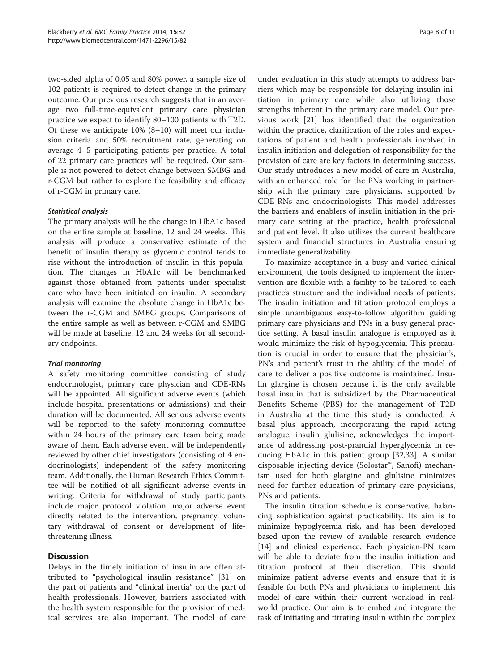two-sided alpha of 0.05 and 80% power, a sample size of 102 patients is required to detect change in the primary outcome. Our previous research suggests that in an average two full-time-equivalent primary care physician practice we expect to identify 80–100 patients with T2D. Of these we anticipate 10% (8–10) will meet our inclusion criteria and 50% recruitment rate, generating on average 4–5 participating patients per practice. A total of 22 primary care practices will be required. Our sample is not powered to detect change between SMBG and r-CGM but rather to explore the feasibility and efficacy of r-CGM in primary care.

# Statistical analysis

The primary analysis will be the change in HbA1c based on the entire sample at baseline, 12 and 24 weeks. This analysis will produce a conservative estimate of the benefit of insulin therapy as glycemic control tends to rise without the introduction of insulin in this population. The changes in HbA1c will be benchmarked against those obtained from patients under specialist care who have been initiated on insulin. A secondary analysis will examine the absolute change in HbA1c between the r-CGM and SMBG groups. Comparisons of the entire sample as well as between r-CGM and SMBG will be made at baseline, 12 and 24 weeks for all secondary endpoints.

# Trial monitoring

A safety monitoring committee consisting of study endocrinologist, primary care physician and CDE-RNs will be appointed. All significant adverse events (which include hospital presentations or admissions) and their duration will be documented. All serious adverse events will be reported to the safety monitoring committee within 24 hours of the primary care team being made aware of them. Each adverse event will be independently reviewed by other chief investigators (consisting of 4 endocrinologists) independent of the safety monitoring team. Additionally, the Human Research Ethics Committee will be notified of all significant adverse events in writing. Criteria for withdrawal of study participants include major protocol violation, major adverse event directly related to the intervention, pregnancy, voluntary withdrawal of consent or development of lifethreatening illness.

# **Discussion**

Delays in the timely initiation of insulin are often attributed to "psychological insulin resistance" [31] on the part of patients and "clinical inertia" on the part of health professionals. However, barriers associated with the health system responsible for the provision of medical services are also important. The model of care

under evaluation in this study attempts to address barriers which may be responsible for delaying insulin initiation in primary care while also utilizing those strengths inherent in the primary care model. Our previous work [21] has identified that the organization within the practice, clarification of the roles and expectations of patient and health professionals involved in insulin initiation and delegation of responsibility for the provision of care are key factors in determining success. Our study introduces a new model of care in Australia, with an enhanced role for the PNs working in partnership with the primary care physicians, supported by CDE-RNs and endocrinologists. This model addresses the barriers and enablers of insulin initiation in the primary care setting at the practice, health professional and patient level. It also utilizes the current healthcare system and financial structures in Australia ensuring immediate generalizability.

To maximize acceptance in a busy and varied clinical environment, the tools designed to implement the intervention are flexible with a facility to be tailored to each practice's structure and the individual needs of patients. The insulin initiation and titration protocol employs a simple unambiguous easy-to-follow algorithm guiding primary care physicians and PNs in a busy general practice setting. A basal insulin analogue is employed as it would minimize the risk of hypoglycemia. This precaution is crucial in order to ensure that the physician's, PN's and patient's trust in the ability of the model of care to deliver a positive outcome is maintained. Insulin glargine is chosen because it is the only available basal insulin that is subsidized by the Pharmaceutical Benefits Scheme (PBS) for the management of T2D in Australia at the time this study is conducted. A basal plus approach, incorporating the rapid acting analogue, insulin glulisine, acknowledges the importance of addressing post-prandial hyperglycemia in reducing HbA1c in this patient group [32,33]. A similar disposable injecting device (Solostar™, Sanofi) mechanism used for both glargine and glulisine minimizes need for further education of primary care physicians, PNs and patients.

The insulin titration schedule is conservative, balancing sophistication against practicability. Its aim is to minimize hypoglycemia risk, and has been developed based upon the review of available research evidence [14] and clinical experience. Each physician-PN team will be able to deviate from the insulin initiation and titration protocol at their discretion. This should minimize patient adverse events and ensure that it is feasible for both PNs and physicians to implement this model of care within their current workload in realworld practice. Our aim is to embed and integrate the task of initiating and titrating insulin within the complex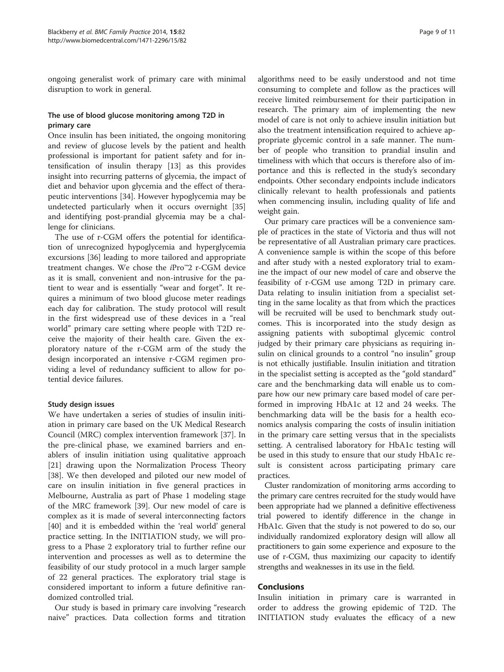ongoing generalist work of primary care with minimal disruption to work in general.

# The use of blood glucose monitoring among T2D in primary care

Once insulin has been initiated, the ongoing monitoring and review of glucose levels by the patient and health professional is important for patient safety and for intensification of insulin therapy [13] as this provides insight into recurring patterns of glycemia, the impact of diet and behavior upon glycemia and the effect of therapeutic interventions [34]. However hypoglycemia may be undetected particularly when it occurs overnight [35] and identifying post-prandial glycemia may be a challenge for clinicians.

The use of r-CGM offers the potential for identification of unrecognized hypoglycemia and hyperglycemia excursions [36] leading to more tailored and appropriate treatment changes. We chose the iPro™2 r-CGM device as it is small, convenient and non-intrusive for the patient to wear and is essentially "wear and forget". It requires a minimum of two blood glucose meter readings each day for calibration. The study protocol will result in the first widespread use of these devices in a "real world" primary care setting where people with T2D receive the majority of their health care. Given the exploratory nature of the r-CGM arm of the study the design incorporated an intensive r-CGM regimen providing a level of redundancy sufficient to allow for potential device failures.

# Study design issues

We have undertaken a series of studies of insulin initiation in primary care based on the UK Medical Research Council (MRC) complex intervention framework [37]. In the pre-clinical phase, we examined barriers and enablers of insulin initiation using qualitative approach [21] drawing upon the Normalization Process Theory [38]. We then developed and piloted our new model of care on insulin initiation in five general practices in Melbourne, Australia as part of Phase 1 modeling stage of the MRC framework [39]. Our new model of care is complex as it is made of several interconnecting factors [40] and it is embedded within the 'real world' general practice setting. In the INITIATION study, we will progress to a Phase 2 exploratory trial to further refine our intervention and processes as well as to determine the feasibility of our study protocol in a much larger sample of 22 general practices. The exploratory trial stage is considered important to inform a future definitive randomized controlled trial.

Our study is based in primary care involving "research naive" practices. Data collection forms and titration

algorithms need to be easily understood and not time consuming to complete and follow as the practices will receive limited reimbursement for their participation in research. The primary aim of implementing the new model of care is not only to achieve insulin initiation but also the treatment intensification required to achieve appropriate glycemic control in a safe manner. The number of people who transition to prandial insulin and timeliness with which that occurs is therefore also of importance and this is reflected in the study's secondary endpoints. Other secondary endpoints include indicators clinically relevant to health professionals and patients when commencing insulin, including quality of life and weight gain.

Our primary care practices will be a convenience sample of practices in the state of Victoria and thus will not be representative of all Australian primary care practices. A convenience sample is within the scope of this before and after study with a nested exploratory trial to examine the impact of our new model of care and observe the feasibility of r-CGM use among T2D in primary care. Data relating to insulin initiation from a specialist setting in the same locality as that from which the practices will be recruited will be used to benchmark study outcomes. This is incorporated into the study design as assigning patients with suboptimal glycemic control judged by their primary care physicians as requiring insulin on clinical grounds to a control "no insulin" group is not ethically justifiable. Insulin initiation and titration in the specialist setting is accepted as the "gold standard" care and the benchmarking data will enable us to compare how our new primary care based model of care performed in improving HbA1c at 12 and 24 weeks. The benchmarking data will be the basis for a health economics analysis comparing the costs of insulin initiation in the primary care setting versus that in the specialists setting. A centralised laboratory for HbA1c testing will be used in this study to ensure that our study HbA1c result is consistent across participating primary care practices.

Cluster randomization of monitoring arms according to the primary care centres recruited for the study would have been appropriate had we planned a definitive effectiveness trial powered to identify difference in the change in HbA1c. Given that the study is not powered to do so, our individually randomized exploratory design will allow all practitioners to gain some experience and exposure to the use of r-CGM, thus maximizing our capacity to identify strengths and weaknesses in its use in the field.

# Conclusions

Insulin initiation in primary care is warranted in order to address the growing epidemic of T2D. The INITIATION study evaluates the efficacy of a new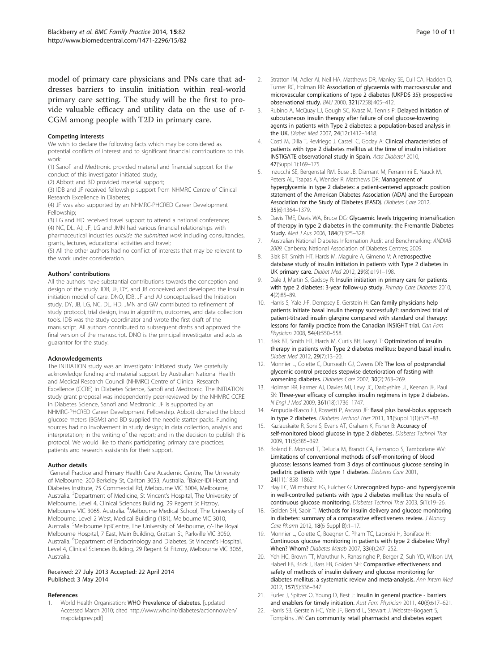model of primary care physicians and PNs care that addresses barriers to insulin initiation within real-world primary care setting. The study will be the first to provide valuable efficacy and utility data on the use of r-CGM among people with T2D in primary care.

#### Competing interests

We wish to declare the following facts which may be considered as potential conflicts of interest and to significant financial contributions to this work:

(1) Sanofi and Medtronic provided material and financial support for the conduct of this investigator initiated study;

(2) Abbott and BD provided material support;

(3) IDB and JF received fellowship support from NHMRC Centre of Clinical Research Excellence in Diabetes;

(4) JF was also supported by an NHMRC-PHCRED Career Development Fellowship;

(3) LG and HD received travel support to attend a national conference; (4) NC, DL, AJ, JF, LG and JMN had various financial relationships with pharmaceutical industries outside the submitted work including consultancies, grants, lectures, educational activities and travel;

(5) All the other authors had no conflict of interests that may be relevant to the work under consideration.

#### Authors' contributions

All the authors have substantial contributions towards the conception and design of the study. IDB, JF, DY, and JB conceived and developed the insulin initiation model of care. DNO, IDB, JF and AJ conceptualised the Initiation study. DY, JB, LG, NC, DL, HD, JMN and GW contributed to refinement of study protocol, trial design, insulin algorithm, outcomes, and data collection tools. IDB was the study coordinator and wrote the first draft of the manuscript. All authors contributed to subsequent drafts and approved the final version of the manuscript. DNO is the principal investigator and acts as guarantor for the study.

#### Acknowledgements

The INITIATION study was an investigator initiated study. We gratefully acknowledge funding and material support by Australian National Health and Medical Research Council (NHMRC) Centre of Clinical Research Excellence (CCRE) in Diabetes Science, Sanofi and Medtronic. The INITIATION study grant proposal was independently peer-reviewed by the NHMRC CCRE in Diabetes Science, Sanofi and Medtronic. JF is supported by an NHMRC-PHCRED Career Development Fellowship. Abbott donated the blood glucose meters (BGMs) and BD supplied the needle starter packs. Funding sources had no involvement in study design; in data collection, analysis and interpretation; in the writing of the report; and in the decision to publish this protocol. We would like to thank participating primary care practices, patients and research assistants for their support.

#### Author details

<sup>1</sup>General Practice and Primary Health Care Academic Centre, The University of Melbourne, 200 Berkeley St, Carlton 3053, Australia. <sup>2</sup>Baker-IDI Heart and Diabetes Institute, 75 Commercial Rd, Melbourne VIC 3004, Melbourne, Australia. <sup>3</sup>Department of Medicine, St Vincent's Hospital, The University of Melbourne, Level 4, Clinical Sciences Building, 29 Regent St Fitzroy, Melbourne VIC 3065, Australia. <sup>4</sup>Melbourne Medical School, The University of Melbourne, Level 2 West, Medical Building (181), Melbourne VIC 3010, Australia. <sup>5</sup>Melbourne EpiCentre, The University of Melbourne, c/-The Royal Melbourne Hospital, 7 East, Main Building, Grattan St, Parkville VIC 3050, Australia. <sup>6</sup> Department of Endocrinology and Diabetes, St Vincent's Hospital, Level 4, Clinical Sciences Building, 29 Regent St Fitzroy, Melbourne VIC 3065, Australia.

#### Received: 27 July 2013 Accepted: 22 April 2014 Published: 3 May 2014

#### References

1. World Health Organisation: WHO Prevalence of diabetes. [updated Accessed March 2010; cited http://www.who.int/diabetes/actionnow/en/ mapdiabprev.pdf]

- 2. Stratton IM, Adler AI, Neil HA, Matthews DR, Manley SE, Cull CA, Hadden D, Turner RC, Holman RR: Association of glycaemia with macrovascular and microvascular complications of type 2 diabetes (UKPDS 35): prospective observational study. BMJ 2000, 321(7258):405–412.
- 3. Rubino A, McQuay LJ, Gough SC, Kvasz M, Tennis P: Delayed initiation of subcutaneous insulin therapy after failure of oral glucose-lowering agents in patients with Type 2 diabetes: a population-based analysis in the UK. Diabet Med 2007, 24(12):1412–1418.
- 4. Costi M, Dilla T, Reviriego J, Castell C, Goday A: Clinical characteristics of patients with type 2 diabetes mellitus at the time of insulin initiation: INSTIGATE observational study in Spain. Acta Diabetol 2010, 47(Suppl 1):169–175.
- 5. Inzucchi SE, Bergenstal RM, Buse JB, Diamant M, Ferrannini E, Nauck M, Peters AL, Tsapas A, Wender R, Matthews DR: Management of hyperglycemia in type 2 diabetes: a patient-centered approach: position statement of the American Diabetes Association (ADA) and the European Association for the Study of Diabetes (EASD). Diabetes Care 2012, 35(6):1364–1379.
- 6. Davis TME, Davis WA, Bruce DG: Glycaemic levels triggering intensification of therapy in type 2 diabetes in the community: the Fremantle Diabetes Study. Med J Aus 2006, 184(7):325-328.
- 7. Australian National Diabetes Information Audit and Benchmarking: ANDIAB 2009. Canberra: National Association of Diabetes Centres; 2009.
- 8. Blak BT, Smith HT, Hards M, Maguire A, Gimeno V: A retrospective database study of insulin initiation in patients with Type 2 diabetes in UK primary care. Diabet Med 2012, 29(8):e191–198.
- 9. Dale J, Martin S, Gadsby R: Insulin initiation in primary care for patients with type 2 diabetes: 3-year follow-up study. Primary Care Diabetes 2010, 4(2):85–89.
- 10. Harris S, Yale J-F, Dempsey E, Gerstein H: Can family physicians help patients initiate basal insulin therapy successfully?: randomized trial of patient-titrated insulin glargine compared with standard oral therapy: lessons for family practice from the Canadian INSIGHT trial. Can Fam Physician 2008, 54(4):550–558.
- 11. Blak BT, Smith HT, Hards M, Curtis BH, Ivanyi T: Optimization of insulin therapy in patients with Type 2 diabetes mellitus: beyond basal insulin. Diabet Med 2012, 29(7):13–20.
- 12. Monnier L, Colette C, Dunseath GJ, Owens DR: The loss of postprandial glycemic control precedes stepwise deterioration of fasting with worsening diabetes. Diabetes Care 2007, 30(2):263–269.
- 13. Holman RR, Farmer AJ, Davies MJ, Levy JC, Darbyshire JL, Keenan JF, Paul SK: Three-year efficacy of complex insulin regimens in type 2 diabetes. N Engl J Med 2009, 361(18):1736–1747.
- 14. Ampudia-Blasco FJ, Rossetti P, Ascaso JF: Basal plus basal-bolus approach in type 2 diabetes. Diabetes Technol Ther 2011, 13(Suppl 1(1)):S75-83.
- 15. Kazlauskaite R, Soni S, Evans AT, Graham K, Fisher B: Accuracy of self-monitored blood glucose in type 2 diabetes. Diabetes Technol Ther 2009, 11(6):385–392.
- 16. Boland E, Monsod T, Delucia M, Brandt CA, Fernando S, Tamborlane WV: Limitations of conventional methods of self-monitoring of blood glucose: lessons learned from 3 days of continuous glucose sensing in pediatric patients with type 1 diabetes. Diabetes Care 2001, 24(11):1858–1862.
- 17. Hay LC, Wilmshurst EG, Fulcher G: Unrecognized hypo- and hyperglycemia in well-controlled patients with type 2 diabetes mellitus: the results of continuous glucose monitoring. Diabetes Technol Ther 2003, 5(1):19–26.
- 18. Golden SH, Sapir T: Methods for insulin delivery and glucose monitoring in diabetes: summary of a comparative effectiveness review. J Manag Care Pharm 2012, 18(6 Suppl B):1–17.
- 19. Monnier L, Colette C, Boegner C, Pham TC, Lapinski H, Boniface H: Continuous glucose monitoring in patients with type 2 diabetes: Why? When? Whom? Diabetes Metab 2007, 33(4):247–252.
- 20. Yeh HC, Brown TT, Maruthur N, Ranasinghe P, Berger Z, Suh YD, Wilson LM, Haberl EB, Brick J, Bass EB, Golden SH: Comparative effectiveness and safety of methods of insulin delivery and glucose monitoring for diabetes mellitus: a systematic review and meta-analysis. Ann Intern Med 2012, 157(5):336–347.
- 21. Furler J, Spitzer O, Young D, Best J: Insulin in general practice barriers and enablers for timely initiation. Aust Fam Physician 2011, 40(8):617–621.
- 22. Harris SB, Gerstein HC, Yale JF, Berard L, Stewart J, Webster-Bogaert S, Tompkins JW: Can community retail pharmacist and diabetes expert